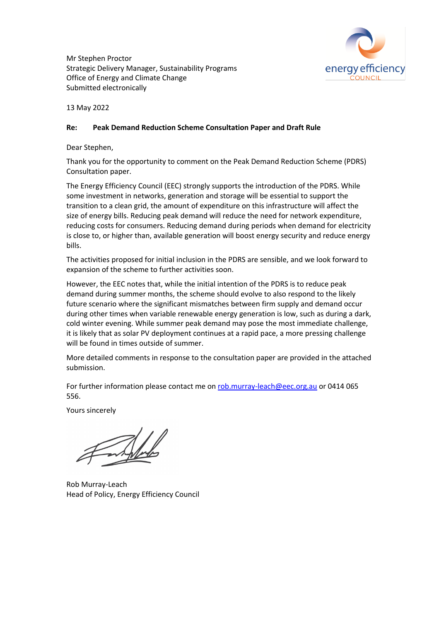Mr Stephen Proctor Strategic Delivery Manager, Sustainability Programs Office of Energy and Climate Change Submitted electronically



13 May 2022

### **Re: Peak Demand Reduction Scheme Consultation Paper and Draft Rule**

Dear Stephen,

Thank you for the opportunity to comment on the Peak Demand Reduction Scheme (PDRS) Consultation paper.

The Energy Efficiency Council (EEC) strongly supports the introduction of the PDRS. While some investment in networks, generation and storage will be essential to support the transition to a clean grid, the amount of expenditure on this infrastructure will affect the size of energy bills. Reducing peak demand will reduce the need for network expenditure, reducing costs for consumers. Reducing demand during periods when demand for electricity is close to, or higher than, available generation will boost energy security and reduce energy bills.

The activities proposed for initial inclusion in the PDRS are sensible, and we look forward to expansion of the scheme to further activities soon.

However, the EEC notes that, while the initial intention of the PDRS is to reduce peak demand during summer months, the scheme should evolve to also respond to the likely future scenario where the significant mismatches between firm supply and demand occur during other times when variable renewable energy generation is low, such as during a dark, cold winter evening. While summer peak demand may pose the most immediate challenge, it is likely that as solar PV deployment continues at a rapid pace, a more pressing challenge will be found in times outside of summer.

More detailed comments in response to the consultation paper are provided in the attached submission.

For further information please contact me on rob.murray-leach@eec.org.au or 0414 065 556.

Yours sincerely

Rob Murray-Leach Head of Policy, Energy Efficiency Council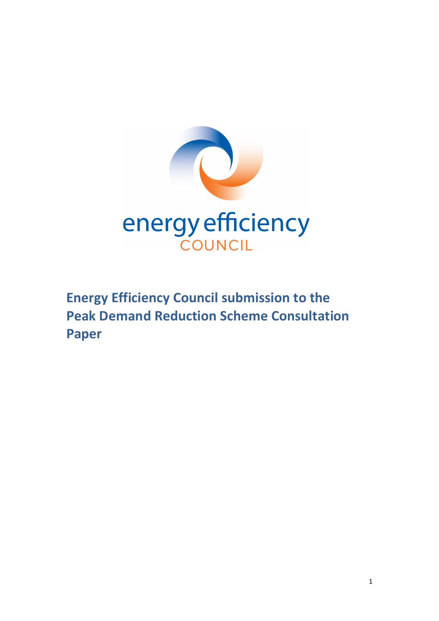

**Energy Efficiency Council submission to the Peak Demand Reduction Scheme Consultation Paper**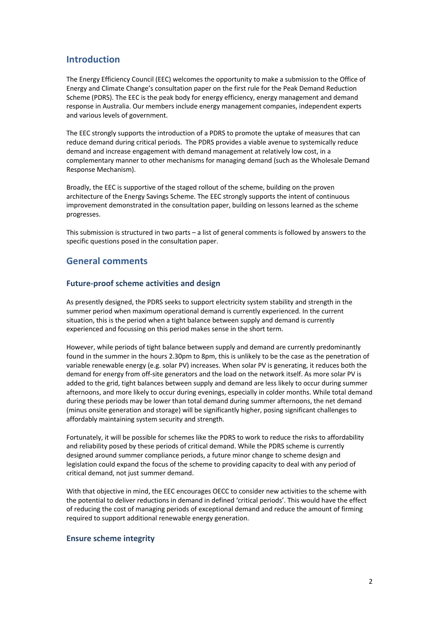# **Introduction**

The Energy Efficiency Council (EEC) welcomes the opportunity to make a submission to the Office of Energy and Climate Change's consultation paper on the first rule for the Peak Demand Reduction Scheme (PDRS). The EEC is the peak body for energy efficiency, energy management and demand response in Australia. Our members include energy management companies, independent experts and various levels of government.

The EEC strongly supports the introduction of a PDRS to promote the uptake of measures that can reduce demand during critical periods. The PDRS provides a viable avenue to systemically reduce demand and increase engagement with demand management at relatively low cost, in a complementary manner to other mechanisms for managing demand (such as the Wholesale Demand Response Mechanism).

Broadly, the EEC is supportive of the staged rollout of the scheme, building on the proven architecture of the Energy Savings Scheme. The EEC strongly supports the intent of continuous improvement demonstrated in the consultation paper, building on lessons learned as the scheme progresses.

This submission is structured in two parts – a list of general comments is followed by answers to the specific questions posed in the consultation paper.

## **General comments**

#### **Future-proof scheme activities and design**

As presently designed, the PDRS seeks to support electricity system stability and strength in the summer period when maximum operational demand is currently experienced. In the current situation, this is the period when a tight balance between supply and demand is currently experienced and focussing on this period makes sense in the short term.

However, while periods of tight balance between supply and demand are currently predominantly found in the summer in the hours 2.30pm to 8pm, this is unlikely to be the case as the penetration of variable renewable energy (e.g. solar PV) increases. When solar PV is generating, it reduces both the demand for energy from off-site generators and the load on the network itself. As more solar PV is added to the grid, tight balances between supply and demand are less likely to occur during summer afternoons, and more likely to occur during evenings, especially in colder months. While total demand during these periods may be lower than total demand during summer afternoons, the net demand (minus onsite generation and storage) will be significantly higher, posing significant challenges to affordably maintaining system security and strength.

Fortunately, it will be possible for schemes like the PDRS to work to reduce the risks to affordability and reliability posed by these periods of critical demand. While the PDRS scheme is currently designed around summer compliance periods, a future minor change to scheme design and legislation could expand the focus of the scheme to providing capacity to deal with any period of critical demand, not just summer demand.

With that objective in mind, the EEC encourages OECC to consider new activities to the scheme with the potential to deliver reductions in demand in defined 'critical periods'. This would have the effect of reducing the cost of managing periods of exceptional demand and reduce the amount of firming required to support additional renewable energy generation.

### **Ensure scheme integrity**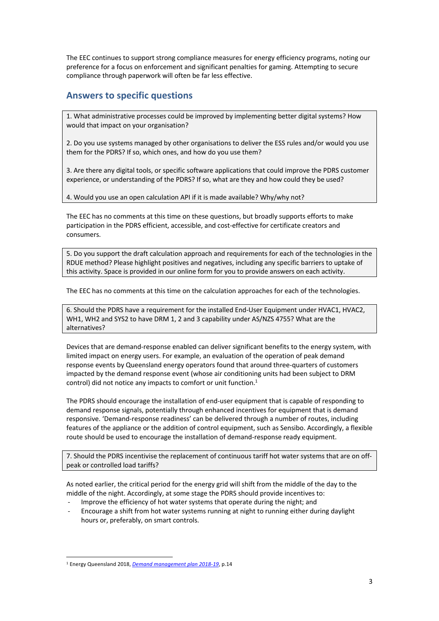The EEC continues to support strong compliance measures for energy efficiency programs, noting our preference for a focus on enforcement and significant penalties for gaming. Attempting to secure compliance through paperwork will often be far less effective.

# **Answers to specific questions**

1. What administrative processes could be improved by implementing better digital systems? How would that impact on your organisation?

2. Do you use systems managed by other organisations to deliver the ESS rules and/or would you use them for the PDRS? If so, which ones, and how do you use them?

3. Are there any digital tools, or specific software applications that could improve the PDRS customer experience, or understanding of the PDRS? If so, what are they and how could they be used?

4. Would you use an open calculation API if it is made available? Why/why not?

The EEC has no comments at this time on these questions, but broadly supports efforts to make participation in the PDRS efficient, accessible, and cost-effective for certificate creators and consumers.

5. Do you support the draft calculation approach and requirements for each of the technologies in the RDUE method? Please highlight positives and negatives, including any specific barriers to uptake of this activity. Space is provided in our online form for you to provide answers on each activity.

The EEC has no comments at this time on the calculation approaches for each of the technologies.

6. Should the PDRS have a requirement for the installed End-User Equipment under HVAC1, HVAC2, WH1, WH2 and SYS2 to have DRM 1, 2 and 3 capability under AS/NZS 4755? What are the alternatives?

Devices that are demand-response enabled can deliver significant benefits to the energy system, with limited impact on energy users. For example, an evaluation of the operation of peak demand response events by Queensland energy operators found that around three-quarters of customers impacted by the demand response event (whose air conditioning units had been subject to DRM control) did not notice any impacts to comfort or unit function.<sup>1</sup>

The PDRS should encourage the installation of end-user equipment that is capable of responding to demand response signals, potentially through enhanced incentives for equipment that is demand responsive. 'Demand-response readiness' can be delivered through a number of routes, including features of the appliance or the addition of control equipment, such as Sensibo. Accordingly, a flexible route should be used to encourage the installation of demand-response ready equipment.

7. Should the PDRS incentivise the replacement of continuous tariff hot water systems that are on offpeak or controlled load tariffs?

As noted earlier, the critical period for the energy grid will shift from the middle of the day to the middle of the night. Accordingly, at some stage the PDRS should provide incentives to:

- Improve the efficiency of hot water systems that operate during the night; and
- Encourage a shift from hot water systems running at night to running either during daylight hours or, preferably, on smart controls.

<sup>1</sup> Energy Queensland 2018, *Demand management plan 2018-19*, p.14